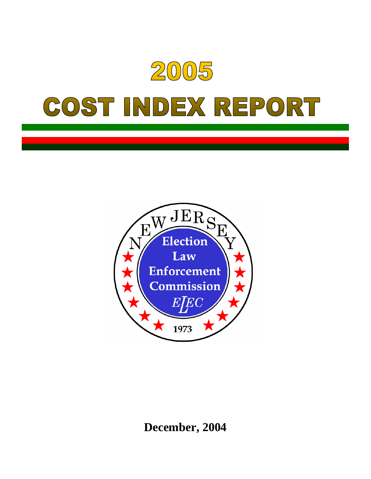



**December, 2004**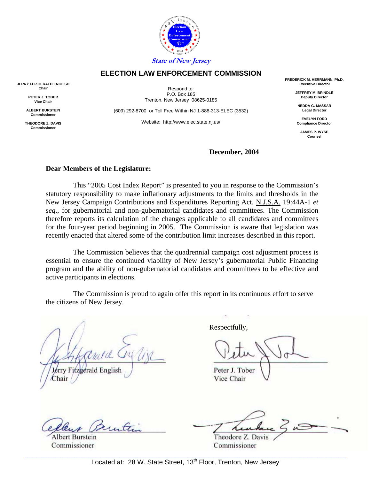

#### **ELECTION LAW ENFORCEMENT COMMISSION**

**JERRY FITZGERALD ENGLISH Chair**

> **PETER J. TOBER Vice Chair**

**ALBERT BURSTEIN Commissioner**

**THEODORE Z. DAVIS Commissione** 

Respond to: P.O. Box 185 Trenton, New Jersey 08625-0185

(609) 292-8700 or Toll Free Within NJ 1-888-313-ELEC (3532)

Website: http://www.elec.state.nj.us/

**FREDERICK M. HERRMANN, Ph.D. Executive Director**

> **JEFFREY M. BRINDLE Deputy Director**

**NEDDA G. MASSAR Legal Director**

**EVELYN FORD Compliance Director**

**JAMES P. WYSE Counsel**

#### **December, 2004**

#### **Dear Members of the Legislature:**

 This "2005 Cost Index Report" is presented to you in response to the Commission's statutory responsibility to make inflationary adjustments to the limits and thresholds in the New Jersey Campaign Contributions and Expenditures Reporting Act, N.J.S.A. 19:44A-1 *et seq*., for gubernatorial and non-gubernatorial candidates and committees. The Commission therefore reports its calculation of the changes applicable to all candidates and committees for the four-year period beginning in 2005. The Commission is aware that legislation was recently enacted that altered some of the contribution limit increases described in this report.

 The Commission believes that the quadrennial campaign cost adjustment process is essential to ensure the continued viability of New Jersey's gubernatorial Public Financing program and the ability of non-gubernatorial candidates and committees to be effective and active participants in elections.

 The Commission is proud to again offer this report in its continuous effort to serve the citizens of New Jersey.

Lérry Fitzgerald English hair

But.

**Albert Burstein** Commissioner

Respectfully,

Peter J. Tober

Vice Chair

Theodore Z. Davis Commissioner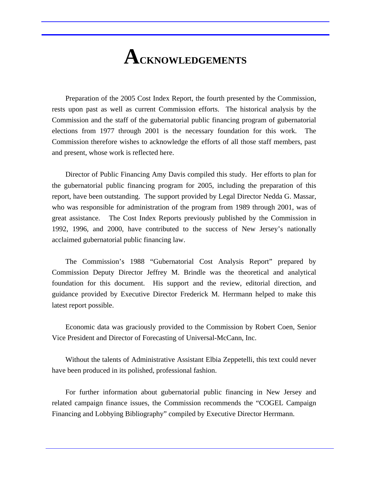## **ACKNOWLEDGEMENTS**

 Preparation of the 2005 Cost Index Report, the fourth presented by the Commission, rests upon past as well as current Commission efforts. The historical analysis by the Commission and the staff of the gubernatorial public financing program of gubernatorial elections from 1977 through 2001 is the necessary foundation for this work. The Commission therefore wishes to acknowledge the efforts of all those staff members, past and present, whose work is reflected here.

 Director of Public Financing Amy Davis compiled this study. Her efforts to plan for the gubernatorial public financing program for 2005, including the preparation of this report, have been outstanding. The support provided by Legal Director Nedda G. Massar, who was responsible for administration of the program from 1989 through 2001, was of great assistance. The Cost Index Reports previously published by the Commission in 1992, 1996, and 2000, have contributed to the success of New Jersey's nationally acclaimed gubernatorial public financing law.

 The Commission's 1988 "Gubernatorial Cost Analysis Report" prepared by Commission Deputy Director Jeffrey M. Brindle was the theoretical and analytical foundation for this document. His support and the review, editorial direction, and guidance provided by Executive Director Frederick M. Herrmann helped to make this latest report possible.

 Economic data was graciously provided to the Commission by Robert Coen, Senior Vice President and Director of Forecasting of Universal-McCann, Inc.

 Without the talents of Administrative Assistant Elbia Zeppetelli, this text could never have been produced in its polished, professional fashion.

 For further information about gubernatorial public financing in New Jersey and related campaign finance issues, the Commission recommends the "COGEL Campaign Financing and Lobbying Bibliography" compiled by Executive Director Herrmann.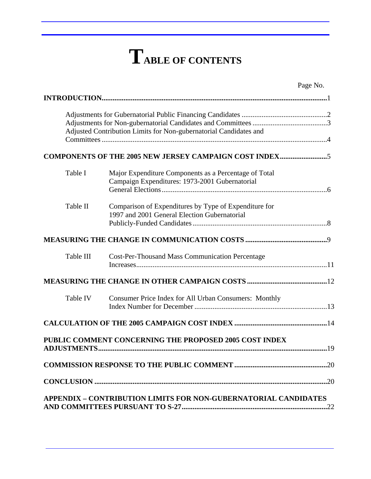# **TABLE OF CONTENTS**

|           |                                                                                                         | Page No. |
|-----------|---------------------------------------------------------------------------------------------------------|----------|
|           |                                                                                                         |          |
|           | Adjusted Contribution Limits for Non-gubernatorial Candidates and                                       |          |
|           | COMPONENTS OF THE 2005 NEW JERSEY CAMPAIGN COST INDEX5                                                  |          |
| Table I   | Major Expenditure Components as a Percentage of Total<br>Campaign Expenditures: 1973-2001 Gubernatorial |          |
| Table II  | Comparison of Expenditures by Type of Expenditure for<br>1997 and 2001 General Election Gubernatorial   |          |
|           |                                                                                                         |          |
| Table III | <b>Cost-Per-Thousand Mass Communication Percentage</b>                                                  |          |
|           |                                                                                                         |          |
| Table IV  | <b>Consumer Price Index for All Urban Consumers: Monthly</b>                                            |          |
|           |                                                                                                         |          |
|           | PUBLIC COMMENT CONCERNING THE PROPOSED 2005 COST INDEX                                                  |          |
|           |                                                                                                         |          |
|           |                                                                                                         |          |
|           | <b>APPENDIX - CONTRIBUTION LIMITS FOR NON-GUBERNATORIAL CANDIDATES</b>                                  |          |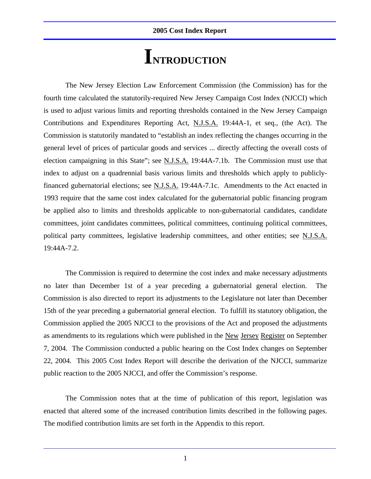## **INTRODUCTION**

 The New Jersey Election Law Enforcement Commission (the Commission) has for the fourth time calculated the statutorily-required New Jersey Campaign Cost Index (NJCCI) which is used to adjust various limits and reporting thresholds contained in the New Jersey Campaign Contributions and Expenditures Reporting Act, N.J.S.A. 19:44A-1, et seq., (the Act). The Commission is statutorily mandated to "establish an index reflecting the changes occurring in the general level of prices of particular goods and services ... directly affecting the overall costs of election campaigning in this State"; see N.J.S.A. 19:44A-7.1b. The Commission must use that index to adjust on a quadrennial basis various limits and thresholds which apply to publiclyfinanced gubernatorial elections; see N.J.S.A. 19:44A-7.1c. Amendments to the Act enacted in 1993 require that the same cost index calculated for the gubernatorial public financing program be applied also to limits and thresholds applicable to non-gubernatorial candidates, candidate committees, joint candidates committees, political committees, continuing political committees, political party committees, legislative leadership committees, and other entities; see N.J.S.A. 19:44A-7.2.

 The Commission is required to determine the cost index and make necessary adjustments no later than December 1st of a year preceding a gubernatorial general election. The Commission is also directed to report its adjustments to the Legislature not later than December 15th of the year preceding a gubernatorial general election. To fulfill its statutory obligation, the Commission applied the 2005 NJCCI to the provisions of the Act and proposed the adjustments as amendments to its regulations which were published in the New Jersey Register on September 7, 2004. The Commission conducted a public hearing on the Cost Index changes on September 22, 2004. This 2005 Cost Index Report will describe the derivation of the NJCCI, summarize public reaction to the 2005 NJCCI, and offer the Commission's response.

 The Commission notes that at the time of publication of this report, legislation was enacted that altered some of the increased contribution limits described in the following pages. The modified contribution limits are set forth in the Appendix to this report.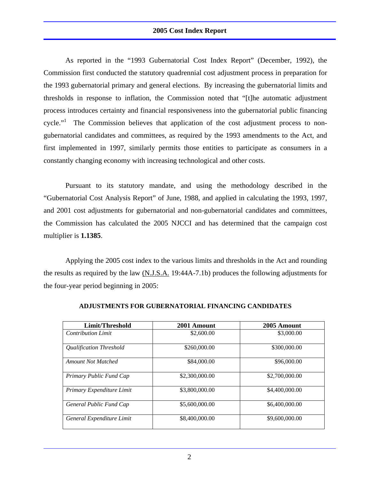As reported in the "1993 Gubernatorial Cost Index Report" (December, 1992), the Commission first conducted the statutory quadrennial cost adjustment process in preparation for the 1993 gubernatorial primary and general elections. By increasing the gubernatorial limits and thresholds in response to inflation, the Commission noted that "[t]he automatic adjustment process introduces certainty and financial responsiveness into the gubernatorial public financing cycle."<sup>1</sup> The Commission believes that application of the cost adjustment process to nongubernatorial candidates and committees, as required by the 1993 amendments to the Act, and first implemented in 1997, similarly permits those entities to participate as consumers in a constantly changing economy with increasing technological and other costs.

 Pursuant to its statutory mandate, and using the methodology described in the "Gubernatorial Cost Analysis Report" of June, 1988, and applied in calculating the 1993, 1997, and 2001 cost adjustments for gubernatorial and non-gubernatorial candidates and committees, the Commission has calculated the 2005 NJCCI and has determined that the campaign cost multiplier is **1.1385**.

Applying the 2005 cost index to the various limits and thresholds in the Act and rounding the results as required by the law (N.J.S.A. 19:44A-7.1b) produces the following adjustments for the four-year period beginning in 2005:

| Limit/Threshold                | 2001 Amount    | 2005 Amount    |
|--------------------------------|----------------|----------------|
| <b>Contribution Limit</b>      | \$2,600.00     | \$3,000.00     |
| <b>Oualification Threshold</b> | \$260,000.00   | \$300,000.00   |
| <b>Amount Not Matched</b>      | \$84,000.00    | \$96,000.00    |
| Primary Public Fund Cap        | \$2,300,000.00 | \$2,700,000.00 |
| Primary Expenditure Limit      | \$3,800,000.00 | \$4,400,000.00 |
| General Public Fund Cap        | \$5,600,000,00 | \$6,400,000,00 |
| General Expenditure Limit      | \$8,400,000.00 | \$9,600,000.00 |

#### **ADJUSTMENTS FOR GUBERNATORIAL FINANCING CANDIDATES**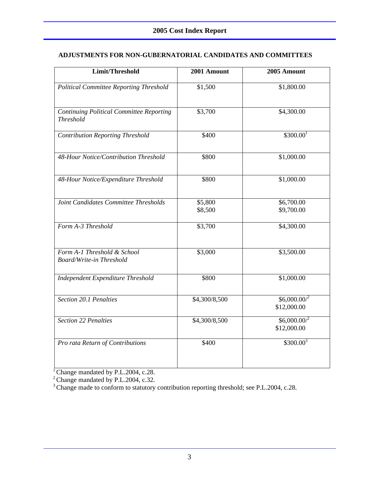#### **ADJUSTMENTS FOR NON-GUBERNATORIAL CANDIDATES AND COMMITTEES**

| Limit/Threshold                                                | 2001 Amount        | 2005 Amount                             |
|----------------------------------------------------------------|--------------------|-----------------------------------------|
| <b>Political Committee Reporting Threshold</b>                 | \$1,500            | \$1,800.00                              |
| Continuing Political Committee Reporting<br><b>Threshold</b>   | \$3,700            | \$4,300.00                              |
| <b>Contribution Reporting Threshold</b>                        | \$400              | \$300.00 <sup>1</sup>                   |
| 48-Hour Notice/Contribution Threshold                          | \$800              | \$1,000.00                              |
| 48-Hour Notice/Expenditure Threshold                           | \$800              | \$1,000.00                              |
| Joint Candidates Committee Thresholds                          | \$5,800<br>\$8,500 | \$6,700.00<br>\$9,700.00                |
| Form A-3 Threshold                                             | \$3,700            | \$4,300.00                              |
| Form A-1 Threshold & School<br><b>Board/Write-in Threshold</b> | \$3,000            | \$3,500.00                              |
| Independent Expenditure Threshold                              | \$800              | \$1,000.00                              |
| Section 20.1 Penalties                                         | \$4,300/8,500      | $$6,000.00$ <sup>2</sup><br>\$12,000.00 |
| <b>Section 22 Penalties</b>                                    | \$4,300/8,500      | $$6,000.00$ <sup>2</sup><br>\$12,000.00 |
| Pro rata Return of Contributions                               | \$400              | $$300.00^3$                             |

<sup>1</sup> Change mandated by P.L.2004, c.28.

<sup>2</sup> Change mandated by P.L.2004, c.32.

<sup>3</sup> Change made to conform to statutory contribution reporting threshold; see P.L.2004, c.28.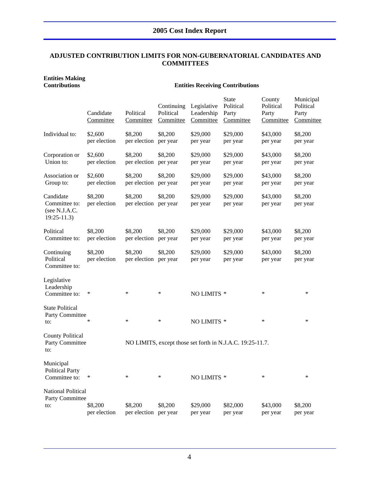#### **ADJUSTED CONTRIBUTION LIMITS FOR NON-GUBERNATORIAL CANDIDATES AND COMMITTEES**

## **Entities Making**

#### **Contributions Entities Receiving Contributions**

|                                                             | Candidate<br>Committee  | Political<br>Committee           | Continuing<br>Political<br>Committee | Legislative<br>Leadership<br>Committee | <b>State</b><br>Political<br>Party<br>Committee           | County<br>Political<br>Party<br>Committee | Municipal<br>Political<br>Party<br>Committee |
|-------------------------------------------------------------|-------------------------|----------------------------------|--------------------------------------|----------------------------------------|-----------------------------------------------------------|-------------------------------------------|----------------------------------------------|
| Individual to:                                              | \$2,600<br>per election | \$8,200<br>per election          | \$8,200<br>per year                  | \$29,000<br>per year                   | \$29,000<br>per year                                      | \$43,000<br>per year                      | \$8,200<br>per year                          |
| Corporation or<br>Union to:                                 | \$2,600<br>per election | \$8,200<br>per election          | \$8,200<br>per year                  | \$29,000<br>per year                   | \$29,000<br>per year                                      | \$43,000<br>per year                      | \$8,200<br>per year                          |
| Association or<br>Group to:                                 | \$2,600<br>per election | \$8,200<br>per election          | \$8,200<br>per year                  | \$29,000<br>per year                   | \$29,000<br>per year                                      | \$43,000<br>per year                      | \$8,200<br>per year                          |
| Candidate<br>Committee to:<br>(see N.J.A.C.<br>$19:25-11.3$ | \$8,200<br>per election | \$8,200<br>per election per year | \$8,200                              | \$29,000<br>per year                   | \$29,000<br>per year                                      | \$43,000<br>per year                      | \$8,200<br>per year                          |
| Political<br>Committee to:                                  | \$8,200<br>per election | \$8,200<br>per election          | \$8,200<br>per year                  | \$29,000<br>per year                   | \$29,000<br>per year                                      | \$43,000<br>per year                      | \$8,200<br>per year                          |
| Continuing<br>Political<br>Committee to:                    | \$8,200<br>per election | \$8,200<br>per election per year | \$8,200                              | \$29,000<br>per year                   | \$29,000<br>per year                                      | \$43,000<br>per year                      | \$8,200<br>per year                          |
| Legislative<br>Leadership<br>Committee to:                  | ∗                       | ∗                                | $\ast$                               | NO LIMITS *                            |                                                           | $\ast$                                    | $\ast$                                       |
| <b>State Political</b><br>Party Committee<br>to:            | ∗                       | $\ast$                           | $\ast$                               | NO LIMITS *                            |                                                           | $\ast$                                    | $\ast$                                       |
| <b>County Political</b><br>Party Committee<br>to:           |                         |                                  |                                      |                                        | NO LIMITS, except those set forth in N.J.A.C. 19:25-11.7. |                                           |                                              |
| Municipal<br><b>Political Party</b><br>Committee to:        | $\ast$                  | $\ast$                           | ∗                                    | NO LIMITS *                            |                                                           | $\ast$                                    | ∗                                            |
| <b>National Political</b><br>Party Committee<br>to:         | \$8,200<br>per election | \$8,200<br>per election          | \$8,200<br>per year                  | \$29,000<br>per year                   | \$82,000<br>per year                                      | \$43,000<br>per year                      | \$8,200<br>per year                          |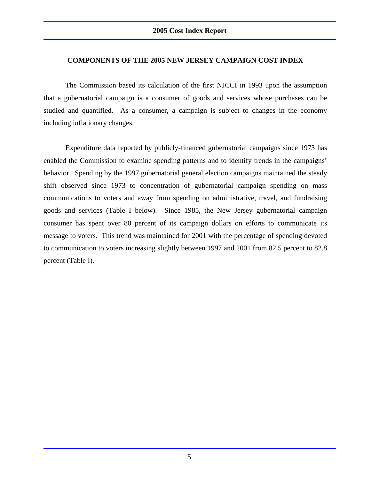#### **COMPONENTS OF THE 2005 NEW JERSEY CAMPAIGN COST INDEX**

 The Commission based its calculation of the first NJCCI in 1993 upon the assumption that a gubernatorial campaign is a consumer of goods and services whose purchases can be studied and quantified. As a consumer, a campaign is subject to changes in the economy including inflationary changes.

 Expenditure data reported by publicly-financed gubernatorial campaigns since 1973 has enabled the Commission to examine spending patterns and to identify trends in the campaigns' behavior. Spending by the 1997 gubernatorial general election campaigns maintained the steady shift observed since 1973 to concentration of gubernatorial campaign spending on mass communications to voters and away from spending on administrative, travel, and fundraising goods and services (Table I below). Since 1985, the New Jersey gubernatorial campaign consumer has spent over 80 percent of its campaign dollars on efforts to communicate its message to voters. This trend was maintained for 2001 with the percentage of spending devoted to communication to voters increasing slightly between 1997 and 2001 from 82.5 percent to 82.8 percent (Table I).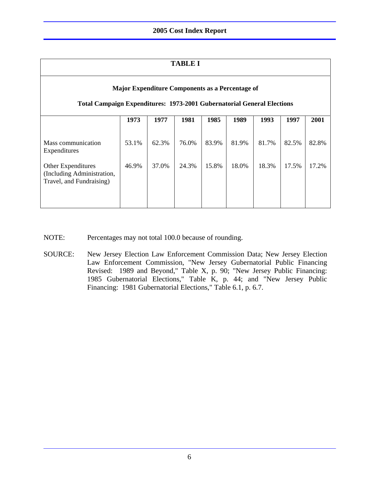#### **TABLE I**

| Major Expenditure Components as a Percentage of<br><b>Total Campaign Expenditures: 1973-2001 Gubernatorial General Elections</b> |                |                |                |                |                |                |                |                |
|----------------------------------------------------------------------------------------------------------------------------------|----------------|----------------|----------------|----------------|----------------|----------------|----------------|----------------|
|                                                                                                                                  | 1973           | 1977           | 1981           | 1985           | 1989           | 1993           | 1997           | 2001           |
| Mass communication<br>Expenditures<br>Other Expenditures<br>(Including Administration,<br>Travel, and Fundraising)               | 53.1%<br>46.9% | 62.3%<br>37.0% | 76.0%<br>24.3% | 83.9%<br>15.8% | 81.9%<br>18.0% | 81.7%<br>18.3% | 82.5%<br>17.5% | 82.8%<br>17.2% |

- NOTE: Percentages may not total 100.0 because of rounding.
- SOURCE: New Jersey Election Law Enforcement Commission Data; New Jersey Election Law Enforcement Commission, "New Jersey Gubernatorial Public Financing Revised: 1989 and Beyond," Table X, p. 90; "New Jersey Public Financing: 1985 Gubernatorial Elections," Table K, p. 44; and "New Jersey Public Financing: 1981 Gubernatorial Elections," Table 6.1, p. 6.7.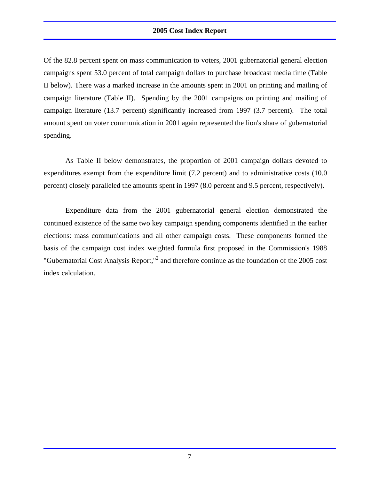Of the 82.8 percent spent on mass communication to voters, 2001 gubernatorial general election campaigns spent 53.0 percent of total campaign dollars to purchase broadcast media time (Table II below). There was a marked increase in the amounts spent in 2001 on printing and mailing of campaign literature (Table II). Spending by the 2001 campaigns on printing and mailing of campaign literature (13.7 percent) significantly increased from 1997 (3.7 percent). The total amount spent on voter communication in 2001 again represented the lion's share of gubernatorial spending.

 As Table II below demonstrates, the proportion of 2001 campaign dollars devoted to expenditures exempt from the expenditure limit (7.2 percent) and to administrative costs (10.0 percent) closely paralleled the amounts spent in 1997 (8.0 percent and 9.5 percent, respectively).

 Expenditure data from the 2001 gubernatorial general election demonstrated the continued existence of the same two key campaign spending components identified in the earlier elections: mass communications and all other campaign costs. These components formed the basis of the campaign cost index weighted formula first proposed in the Commission's 1988 "Gubernatorial Cost Analysis Report,"2 and therefore continue as the foundation of the 2005 cost index calculation.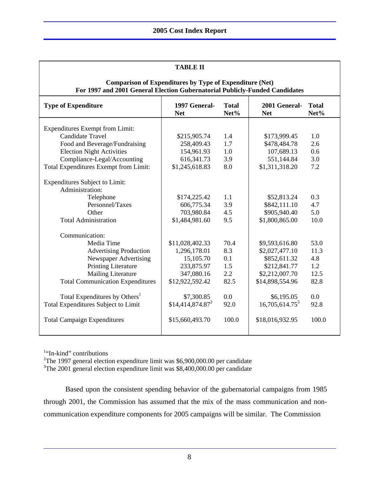| <b>TABLE II</b>                                                                                                                               |                              |                      |                             |                      |  |  |
|-----------------------------------------------------------------------------------------------------------------------------------------------|------------------------------|----------------------|-----------------------------|----------------------|--|--|
| <b>Comparison of Expenditures by Type of Expenditure (Net)</b><br>For 1997 and 2001 General Election Gubernatorial Publicly-Funded Candidates |                              |                      |                             |                      |  |  |
| <b>Type of Expenditure</b>                                                                                                                    | 1997 General-<br><b>Net</b>  | <b>Total</b><br>Net% | 2001 General-<br><b>Net</b> | <b>Total</b><br>Net% |  |  |
| <b>Expenditures Exempt from Limit:</b>                                                                                                        |                              |                      |                             |                      |  |  |
| <b>Candidate Travel</b>                                                                                                                       | \$215,905.74                 | 1.4                  | \$173,999.45                | 1.0                  |  |  |
| Food and Beverage/Fundraising                                                                                                                 | 258,409.43                   | 1.7                  | \$478,484.78                | 2.6                  |  |  |
| <b>Election Night Activities</b>                                                                                                              | 154,961.93                   | 1.0                  | 107,689.13                  | 0.6                  |  |  |
| Compliance-Legal/Accounting                                                                                                                   | 616, 341. 73                 | 3.9                  | 551,144.84                  | 3.0                  |  |  |
| Total Expenditures Exempt from Limit:                                                                                                         | \$1,245,618.83               | 8.0                  | \$1,311,318.20              | 7.2                  |  |  |
| <b>Expenditures Subject to Limit:</b><br>Administration:                                                                                      |                              |                      |                             |                      |  |  |
| Telephone                                                                                                                                     | \$174,225.42                 | 1.1                  | \$52,813.24                 | 0.3                  |  |  |
| Personnel/Taxes                                                                                                                               | 606,775.34                   | 3.9                  | \$842,111.10                | 4.7                  |  |  |
| Other                                                                                                                                         | 703,980.84                   | 4.5                  | \$905,940.40                | 5.0                  |  |  |
| <b>Total Administration</b>                                                                                                                   | \$1,484,981.60               | 9.5                  | \$1,800,865.00              | 10.0                 |  |  |
| Communication:                                                                                                                                |                              |                      |                             |                      |  |  |
| Media Time                                                                                                                                    | \$11,028,402.33              | 70.4                 | \$9,593,616.80              | 53.0                 |  |  |
| <b>Advertising Production</b>                                                                                                                 | 1,296,178.01                 | 8.3                  | \$2,027,477.10              | 11.3                 |  |  |
| Newspaper Advertising                                                                                                                         | 15,105.70                    | 0.1                  | \$852,611.32                | 4.8                  |  |  |
| <b>Printing Literature</b>                                                                                                                    | 233,875.97                   | 1.5                  | \$212,841.77                | 1.2                  |  |  |
| <b>Mailing Literature</b>                                                                                                                     | 347,080.16                   | 2.2                  | \$2,212,007.70              | 12.5                 |  |  |
| <b>Total Communication Expenditures</b>                                                                                                       | \$12,922,592.42              | 82.5                 | \$14,898,554.96             | 82.8                 |  |  |
| Total Expenditures by Others <sup>1</sup>                                                                                                     | \$7,300.85                   | 0.0                  | \$6,195.05                  | 0.0                  |  |  |
| Total Expenditures Subject to Limit                                                                                                           | \$14,414,874.87 <sup>2</sup> | 92.0                 | $16,705,614.75^3$           | 92.8                 |  |  |
| <b>Total Campaign Expenditures</b>                                                                                                            | \$15,660,493.70              | 100.0                | \$18,016,932.95             | 100.0                |  |  |

<sup>1</sup>"In-kind" contributions

<sup>2</sup>The 1997 general election expenditure limit was \$6,900,000.00 per candidate

<sup>3</sup>The 2001 general election expenditure limit was \$8,400,000.00 per candidate

 Based upon the consistent spending behavior of the gubernatorial campaigns from 1985 through 2001, the Commission has assumed that the mix of the mass communication and noncommunication expenditure components for 2005 campaigns will be similar. The Commission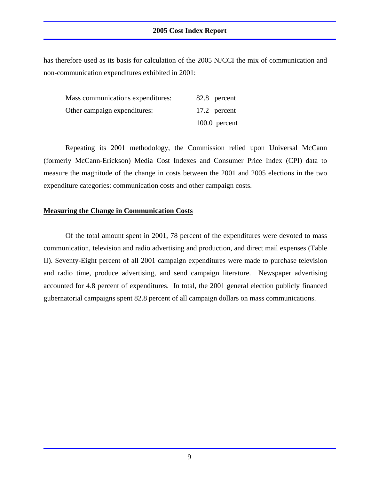has therefore used as its basis for calculation of the 2005 NJCCI the mix of communication and non-communication expenditures exhibited in 2001:

| Mass communications expenditures: | 82.8 percent    |
|-----------------------------------|-----------------|
| Other campaign expenditures:      | 17.2 percent    |
|                                   | $100.0$ percent |

 Repeating its 2001 methodology, the Commission relied upon Universal McCann (formerly McCann-Erickson) Media Cost Indexes and Consumer Price Index (CPI) data to measure the magnitude of the change in costs between the 2001 and 2005 elections in the two expenditure categories: communication costs and other campaign costs.

#### **Measuring the Change in Communication Costs**

 Of the total amount spent in 2001, 78 percent of the expenditures were devoted to mass communication, television and radio advertising and production, and direct mail expenses (Table II). Seventy-Eight percent of all 2001 campaign expenditures were made to purchase television and radio time, produce advertising, and send campaign literature. Newspaper advertising accounted for 4.8 percent of expenditures. In total, the 2001 general election publicly financed gubernatorial campaigns spent 82.8 percent of all campaign dollars on mass communications.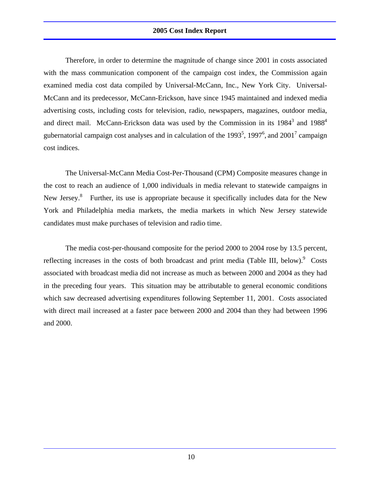Therefore, in order to determine the magnitude of change since 2001 in costs associated with the mass communication component of the campaign cost index, the Commission again examined media cost data compiled by Universal-McCann, Inc., New York City. Universal-McCann and its predecessor, McCann-Erickson, have since 1945 maintained and indexed media advertising costs, including costs for television, radio, newspapers, magazines, outdoor media, and direct mail. McCann-Erickson data was used by the Commission in its  $1984^3$  and  $1988^4$ gubernatorial campaign cost analyses and in calculation of the 1993<sup>5</sup>, 1997<sup>6</sup>, and 2001<sup>7</sup> campaign cost indices.

 The Universal-McCann Media Cost-Per-Thousand (CPM) Composite measures change in the cost to reach an audience of 1,000 individuals in media relevant to statewide campaigns in New Jersey.<sup>8</sup> Further, its use is appropriate because it specifically includes data for the New York and Philadelphia media markets, the media markets in which New Jersey statewide candidates must make purchases of television and radio time.

 The media cost-per-thousand composite for the period 2000 to 2004 rose by 13.5 percent, reflecting increases in the costs of both broadcast and print media (Table III, below). $\degree$  Costs associated with broadcast media did not increase as much as between 2000 and 2004 as they had in the preceding four years. This situation may be attributable to general economic conditions which saw decreased advertising expenditures following September 11, 2001. Costs associated with direct mail increased at a faster pace between 2000 and 2004 than they had between 1996 and 2000.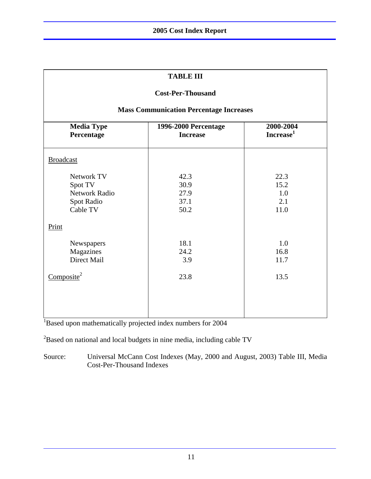| <b>TABLE III</b>                                                                                                        |                                                |              |  |  |  |
|-------------------------------------------------------------------------------------------------------------------------|------------------------------------------------|--------------|--|--|--|
| <b>Cost-Per-Thousand</b>                                                                                                |                                                |              |  |  |  |
|                                                                                                                         | <b>Mass Communication Percentage Increases</b> |              |  |  |  |
| <b>Media Type</b><br>2000-2004<br><b>1996-2000 Percentage</b><br>Increase <sup>1</sup><br>Percentage<br><b>Increase</b> |                                                |              |  |  |  |
| <b>Broadcast</b>                                                                                                        |                                                |              |  |  |  |
| Network TV<br>Spot TV                                                                                                   | 42.3<br>30.9                                   | 22.3<br>15.2 |  |  |  |
| Network Radio                                                                                                           | 27.9                                           | 1.0          |  |  |  |
| Spot Radio                                                                                                              | 37.1                                           | 2.1          |  |  |  |
| Cable TV                                                                                                                | 50.2                                           | 11.0         |  |  |  |
| Print                                                                                                                   |                                                |              |  |  |  |
| Newspapers                                                                                                              | 18.1                                           | 1.0          |  |  |  |
| Magazines                                                                                                               | 24.2                                           | 16.8         |  |  |  |
| Direct Mail                                                                                                             | 3.9                                            | 11.7         |  |  |  |
| Composite <sup>2</sup>                                                                                                  | 23.8                                           | 13.5         |  |  |  |
|                                                                                                                         |                                                |              |  |  |  |
|                                                                                                                         |                                                |              |  |  |  |

<sup>1</sup>Based upon mathematically projected index numbers for 2004

 $2^2$ Based on national and local budgets in nine media, including cable TV

Source: Universal McCann Cost Indexes (May, 2000 and August, 2003) Table III, Media Cost-Per-Thousand Indexes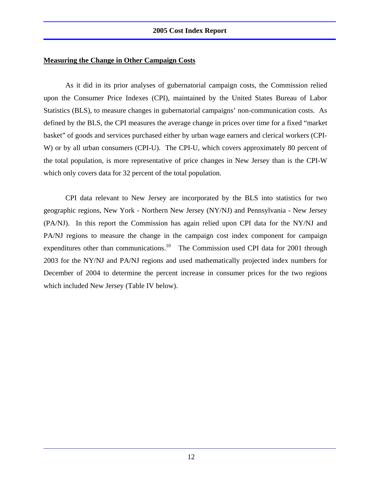#### **Measuring the Change in Other Campaign Costs**

 As it did in its prior analyses of gubernatorial campaign costs, the Commission relied upon the Consumer Price Indexes (CPI), maintained by the United States Bureau of Labor Statistics (BLS), to measure changes in gubernatorial campaigns' non-communication costs. As defined by the BLS, the CPI measures the average change in prices over time for a fixed "market basket" of goods and services purchased either by urban wage earners and clerical workers (CPI-W) or by all urban consumers (CPI-U). The CPI-U, which covers approximately 80 percent of the total population, is more representative of price changes in New Jersey than is the CPI-W which only covers data for 32 percent of the total population.

 CPI data relevant to New Jersey are incorporated by the BLS into statistics for two geographic regions, New York - Northern New Jersey (NY/NJ) and Pennsylvania - New Jersey (PA/NJ). In this report the Commission has again relied upon CPI data for the NY/NJ and PA/NJ regions to measure the change in the campaign cost index component for campaign expenditures other than communications.<sup>10</sup> The Commission used CPI data for 2001 through 2003 for the NY/NJ and PA/NJ regions and used mathematically projected index numbers for December of 2004 to determine the percent increase in consumer prices for the two regions which included New Jersey (Table IV below).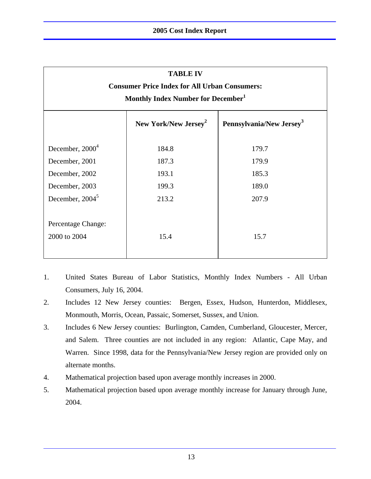| <b>TABLE IV</b>                                                          |                                                      |       |  |  |  |  |  |
|--------------------------------------------------------------------------|------------------------------------------------------|-------|--|--|--|--|--|
|                                                                          | <b>Consumer Price Index for All Urban Consumers:</b> |       |  |  |  |  |  |
| Monthly Index Number for December <sup>1</sup>                           |                                                      |       |  |  |  |  |  |
| Pennsylvania/New Jersey <sup>3</sup><br>New York/New Jersey <sup>2</sup> |                                                      |       |  |  |  |  |  |
| December, $20004$                                                        | 184.8                                                | 179.7 |  |  |  |  |  |
| December, 2001                                                           | 187.3                                                | 179.9 |  |  |  |  |  |
| December, 2002                                                           | 193.1                                                | 185.3 |  |  |  |  |  |
| December, 2003                                                           | 199.3                                                | 189.0 |  |  |  |  |  |
| December, $20045$                                                        | 213.2                                                | 207.9 |  |  |  |  |  |
| Percentage Change:<br>2000 to 2004<br>15.4<br>15.7                       |                                                      |       |  |  |  |  |  |

- 1. United States Bureau of Labor Statistics, Monthly Index Numbers All Urban Consumers, July 16, 2004.
- 2. Includes 12 New Jersey counties: Bergen, Essex, Hudson, Hunterdon, Middlesex, Monmouth, Morris, Ocean, Passaic, Somerset, Sussex, and Union.
- 3. Includes 6 New Jersey counties: Burlington, Camden, Cumberland, Gloucester, Mercer, and Salem. Three counties are not included in any region: Atlantic, Cape May, and Warren. Since 1998, data for the Pennsylvania/New Jersey region are provided only on alternate months.
- 4. Mathematical projection based upon average monthly increases in 2000.
- 5. Mathematical projection based upon average monthly increase for January through June, 2004.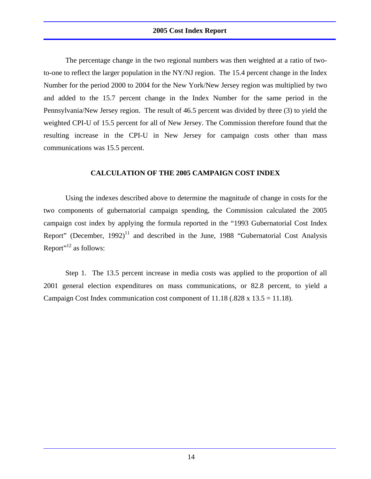The percentage change in the two regional numbers was then weighted at a ratio of twoto-one to reflect the larger population in the NY/NJ region. The 15.4 percent change in the Index Number for the period 2000 to 2004 for the New York/New Jersey region was multiplied by two and added to the 15.7 percent change in the Index Number for the same period in the Pennsylvania/New Jersey region. The result of 46.5 percent was divided by three (3) to yield the weighted CPI-U of 15.5 percent for all of New Jersey. The Commission therefore found that the resulting increase in the CPI-U in New Jersey for campaign costs other than mass communications was 15.5 percent.

#### **CALCULATION OF THE 2005 CAMPAIGN COST INDEX**

 Using the indexes described above to determine the magnitude of change in costs for the two components of gubernatorial campaign spending, the Commission calculated the 2005 campaign cost index by applying the formula reported in the "1993 Gubernatorial Cost Index Report" (December,  $1992$ )<sup>11</sup> and described in the June, 1988 "Gubernatorial Cost Analysis Report"<sup>12</sup> as follows:

 Step 1. The 13.5 percent increase in media costs was applied to the proportion of all 2001 general election expenditures on mass communications, or 82.8 percent, to yield a Campaign Cost Index communication cost component of  $11.18$  (.828 x  $13.5 = 11.18$ ).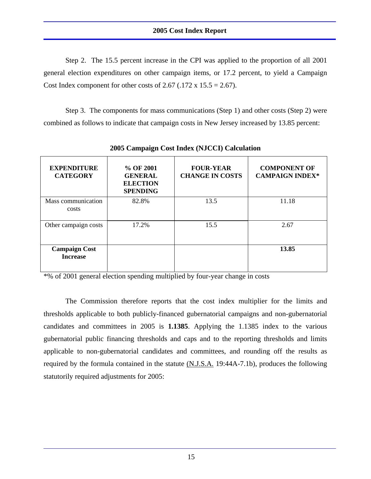Step 2. The 15.5 percent increase in the CPI was applied to the proportion of all 2001 general election expenditures on other campaign items, or 17.2 percent, to yield a Campaign Cost Index component for other costs of 2.67 (.172 x 15.5 = 2.67).

 Step 3. The components for mass communications (Step 1) and other costs (Step 2) were combined as follows to indicate that campaign costs in New Jersey increased by 13.85 percent:

| <b>EXPENDITURE</b><br><b>CATEGORY</b>   | % OF 2001<br><b>GENERAL</b><br><b>ELECTION</b><br><b>SPENDING</b> | <b>FOUR-YEAR</b><br><b>CHANGE IN COSTS</b> | <b>COMPONENT OF</b><br><b>CAMPAIGN INDEX*</b> |
|-----------------------------------------|-------------------------------------------------------------------|--------------------------------------------|-----------------------------------------------|
| Mass communication<br>costs             | 82.8%                                                             | 13.5                                       | 11.18                                         |
| Other campaign costs                    | 17.2%                                                             | 15.5                                       | 2.67                                          |
| <b>Campaign Cost</b><br><b>Increase</b> |                                                                   |                                            | 13.85                                         |

**2005 Campaign Cost Index (NJCCI) Calculation** 

\*% of 2001 general election spending multiplied by four-year change in costs

 The Commission therefore reports that the cost index multiplier for the limits and thresholds applicable to both publicly-financed gubernatorial campaigns and non-gubernatorial candidates and committees in 2005 is **1.1385**. Applying the 1.1385 index to the various gubernatorial public financing thresholds and caps and to the reporting thresholds and limits applicable to non-gubernatorial candidates and committees, and rounding off the results as required by the formula contained in the statute (N.J.S.A. 19:44A-7.1b), produces the following statutorily required adjustments for 2005: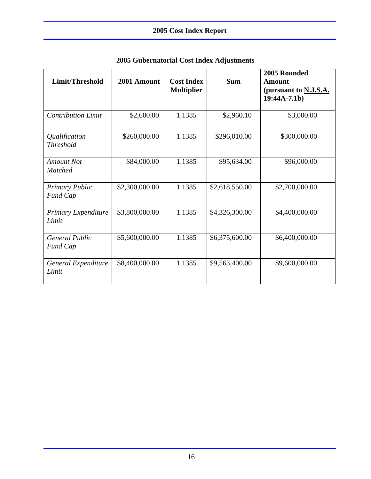| Limit/Threshold                          | 2001 Amount    | <b>Cost Index</b><br><b>Multiplier</b> | <b>Sum</b>     | 2005 Rounded<br><b>Amount</b><br>(pursuant to <b>N.J.S.A.</b><br>$19:44A-7.1b)$ |
|------------------------------------------|----------------|----------------------------------------|----------------|---------------------------------------------------------------------------------|
| <b>Contribution Limit</b>                | \$2,600.00     | 1.1385                                 | \$2,960.10     | \$3,000.00                                                                      |
| Qualification<br><b>Threshold</b>        | \$260,000.00   | 1.1385                                 | \$296,010.00   | \$300,000.00                                                                    |
| <b>Amount Not</b><br><b>Matched</b>      | \$84,000.00    | 1.1385                                 | \$95,634.00    | \$96,000.00                                                                     |
| <b>Primary Public</b><br><b>Fund Cap</b> | \$2,300,000.00 | 1.1385                                 | \$2,618,550.00 | \$2,700,000.00                                                                  |
| Primary Expenditure<br>Limit             | \$3,800,000.00 | 1.1385                                 | \$4,326,300.00 | \$4,400,000.00                                                                  |
| <b>General Public</b><br><b>Fund Cap</b> | \$5,600,000.00 | 1.1385                                 | \$6,375,600.00 | \$6,400,000.00                                                                  |
| General Expenditure<br>Limit             | \$8,400,000.00 | 1.1385                                 | \$9,563,400.00 | \$9,600,000.00                                                                  |

## **2005 Gubernatorial Cost Index Adjustments**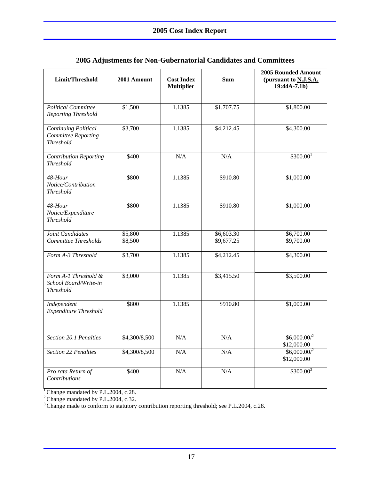| Limit/Threshold                                                        | 2001 Amount        | <b>Cost Index</b><br><b>Multiplier</b> | <b>Sum</b>               | <b>2005 Rounded Amount</b><br>(pursuant to N.J.S.A.<br>$19:44A-7.1b)$ |
|------------------------------------------------------------------------|--------------------|----------------------------------------|--------------------------|-----------------------------------------------------------------------|
| <b>Political Committee</b><br>Reporting Threshold                      | \$1,500            | 1.1385                                 | \$1,707.75               | \$1,800.00                                                            |
| <b>Continuing Political</b><br>Committee Reporting<br><b>Threshold</b> | \$3,700            | 1.1385                                 | \$4,212.45               | \$4,300.00                                                            |
| <b>Contribution Reporting</b><br><b>Threshold</b>                      | \$400              | N/A                                    | N/A                      | \$300.00 <sup>1</sup>                                                 |
| 48-Hour<br>Notice/Contribution<br><b>Threshold</b>                     | \$800              | 1.1385                                 | \$910.80                 | \$1,000.00                                                            |
| 48-Hour<br>Notice/Expenditure<br><b>Threshold</b>                      | \$800              | 1.1385                                 | \$910.80                 | \$1,000.00                                                            |
| Joint Candidates<br>Committee Thresholds                               | \$5,800<br>\$8,500 | 1.1385                                 | \$6,603.30<br>\$9,677.25 | \$6,700.00<br>\$9,700.00                                              |
| Form A-3 Threshold                                                     | \$3,700            | 1.1385                                 | \$4,212.45               | \$4,300.00                                                            |
| Form A-1 Threshold &<br>School Board/Write-in<br><b>Threshold</b>      | \$3,000            | 1.1385                                 | \$3,415.50               | \$3,500.00                                                            |
| Independent<br>Expenditure Threshold                                   | \$800              | 1.1385                                 | \$910.80                 | \$1,000.00                                                            |
| Section 20.1 Penalties                                                 | \$4,300/8,500      | $\rm N/A$                              | N/A                      | \$6,000.002<br>\$12,000.00                                            |
| Section 22 Penalties                                                   | \$4,300/8,500      | $\rm N/A$                              | $\rm N/A$                | $$6,000.00$ <sup>2</sup><br>\$12,000.00                               |
| Pro rata Return of<br>Contributions                                    | \$400              | $\rm N/A$                              | $\rm N/A$                | $$300.00^3$                                                           |

### **2005 Adjustments for Non-Gubernatorial Candidates and Committees**

<sup>1</sup> Change mandated by P.L.2004, c.28.

 $2^2$ Change mandated by P.L.2004, c.32.

<sup>3</sup> Change made to conform to statutory contribution reporting threshold; see P.L.2004, c.28.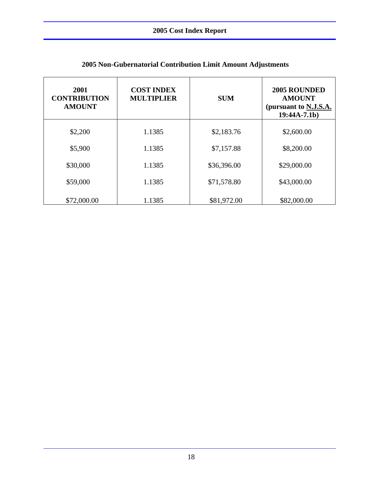| 2001<br><b>CONTRIBUTION</b><br><b>AMOUNT</b> | <b>COST INDEX</b><br><b>MULTIPLIER</b> | <b>SUM</b>  | 2005 ROUNDED<br><b>AMOUNT</b><br>(pursuant to N.J.S.A.<br>$19:44A-7.1b)$ |  |
|----------------------------------------------|----------------------------------------|-------------|--------------------------------------------------------------------------|--|
| \$2,200                                      | 1.1385                                 | \$2,183.76  | \$2,600.00                                                               |  |
| \$5,900                                      | 1.1385                                 | \$7,157.88  | \$8,200.00                                                               |  |
| \$30,000                                     | 1.1385                                 | \$36,396.00 | \$29,000.00                                                              |  |
| \$59,000                                     | 1.1385                                 | \$71,578.80 | \$43,000.00                                                              |  |
| \$72,000.00                                  | 1.1385                                 | \$81,972.00 | \$82,000.00                                                              |  |

## **2005 Non-Gubernatorial Contribution Limit Amount Adjustments**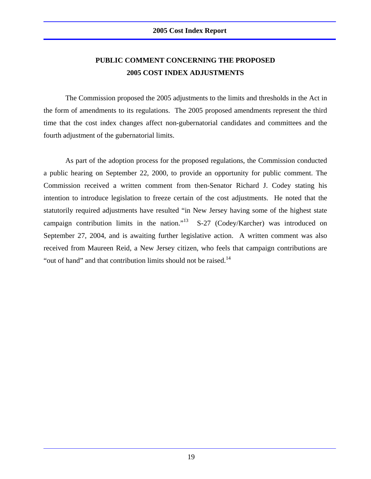## **PUBLIC COMMENT CONCERNING THE PROPOSED 2005 COST INDEX ADJUSTMENTS**

 The Commission proposed the 2005 adjustments to the limits and thresholds in the Act in the form of amendments to its regulations. The 2005 proposed amendments represent the third time that the cost index changes affect non-gubernatorial candidates and committees and the fourth adjustment of the gubernatorial limits.

 As part of the adoption process for the proposed regulations, the Commission conducted a public hearing on September 22, 2000, to provide an opportunity for public comment. The Commission received a written comment from then-Senator Richard J. Codey stating his intention to introduce legislation to freeze certain of the cost adjustments. He noted that the statutorily required adjustments have resulted "in New Jersey having some of the highest state campaign contribution limits in the nation."<sup>13</sup> S-27 (Codey/Karcher) was introduced on September 27, 2004, and is awaiting further legislative action. A written comment was also received from Maureen Reid, a New Jersey citizen, who feels that campaign contributions are "out of hand" and that contribution limits should not be raised.14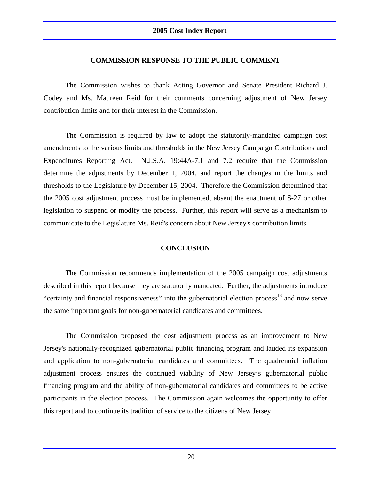#### **COMMISSION RESPONSE TO THE PUBLIC COMMENT**

 The Commission wishes to thank Acting Governor and Senate President Richard J. Codey and Ms. Maureen Reid for their comments concerning adjustment of New Jersey contribution limits and for their interest in the Commission.

The Commission is required by law to adopt the statutorily-mandated campaign cost amendments to the various limits and thresholds in the New Jersey Campaign Contributions and Expenditures Reporting Act. N.J.S.A. 19:44A-7.1 and 7.2 require that the Commission determine the adjustments by December 1, 2004, and report the changes in the limits and thresholds to the Legislature by December 15, 2004. Therefore the Commission determined that the 2005 cost adjustment process must be implemented, absent the enactment of S-27 or other legislation to suspend or modify the process. Further, this report will serve as a mechanism to communicate to the Legislature Ms. Reid's concern about New Jersey's contribution limits.

#### **CONCLUSION**

 The Commission recommends implementation of the 2005 campaign cost adjustments described in this report because they are statutorily mandated. Further, the adjustments introduce "certainty and financial responsiveness" into the gubernatorial election process<sup>13</sup> and now serve the same important goals for non-gubernatorial candidates and committees.

 The Commission proposed the cost adjustment process as an improvement to New Jersey's nationally-recognized gubernatorial public financing program and lauded its expansion and application to non-gubernatorial candidates and committees. The quadrennial inflation adjustment process ensures the continued viability of New Jersey's gubernatorial public financing program and the ability of non-gubernatorial candidates and committees to be active participants in the election process. The Commission again welcomes the opportunity to offer this report and to continue its tradition of service to the citizens of New Jersey.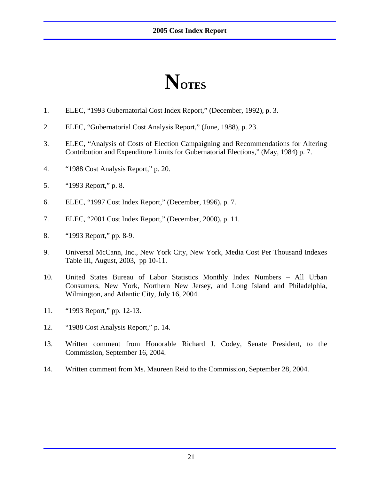## **NOTES**

- 1. ELEC, "1993 Gubernatorial Cost Index Report," (December, 1992), p. 3.
- 2. ELEC, "Gubernatorial Cost Analysis Report," (June, 1988), p. 23.
- 3. ELEC, "Analysis of Costs of Election Campaigning and Recommendations for Altering Contribution and Expenditure Limits for Gubernatorial Elections," (May, 1984) p. 7.
- 4. "1988 Cost Analysis Report," p. 20.
- 5. "1993 Report," p. 8.
- 6. ELEC, "1997 Cost Index Report," (December, 1996), p. 7.
- 7. ELEC, "2001 Cost Index Report," (December, 2000), p. 11.
- 8. "1993 Report," pp. 8-9.
- 9. Universal McCann, Inc., New York City, New York, Media Cost Per Thousand Indexes Table III, August, 2003, pp 10-11.
- 10. United States Bureau of Labor Statistics Monthly Index Numbers All Urban Consumers, New York, Northern New Jersey, and Long Island and Philadelphia, Wilmington, and Atlantic City, July 16, 2004.
- 11. "1993 Report," pp. 12-13.
- 12. "1988 Cost Analysis Report," p. 14.
- 13. Written comment from Honorable Richard J. Codey, Senate President, to the Commission, September 16, 2004.
- 14. Written comment from Ms. Maureen Reid to the Commission, September 28, 2004.